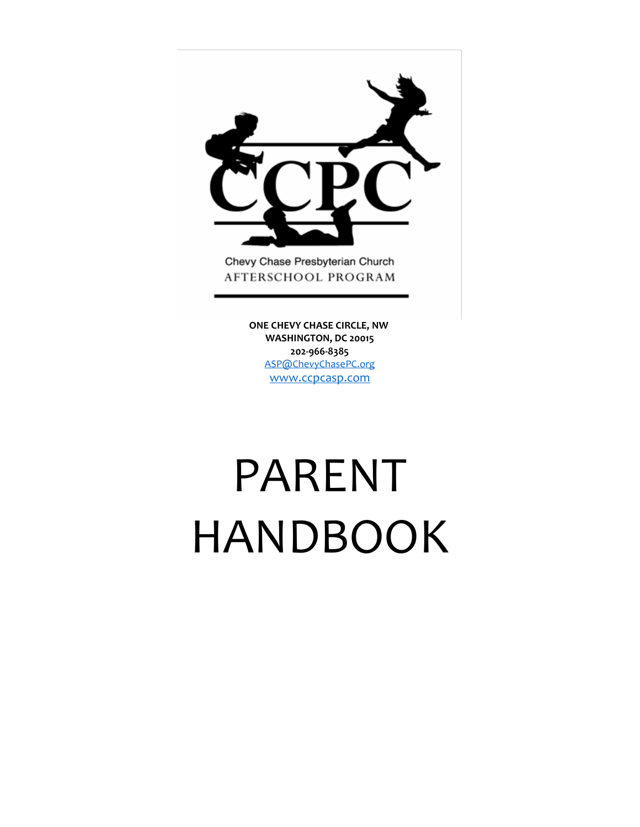

AFTERSCHOOL PROGRAM

 **ONE CHEVY CHASE CIRCLE, NW WASHINGTON, DC 20015 202-966-8385** [ASP@ChevyChasePC.org](mailto:ASP@ChevyChasePC.org) [www.ccpcasp.com](http://www.ccpcasp.com/)

# PARENT HANDBOOK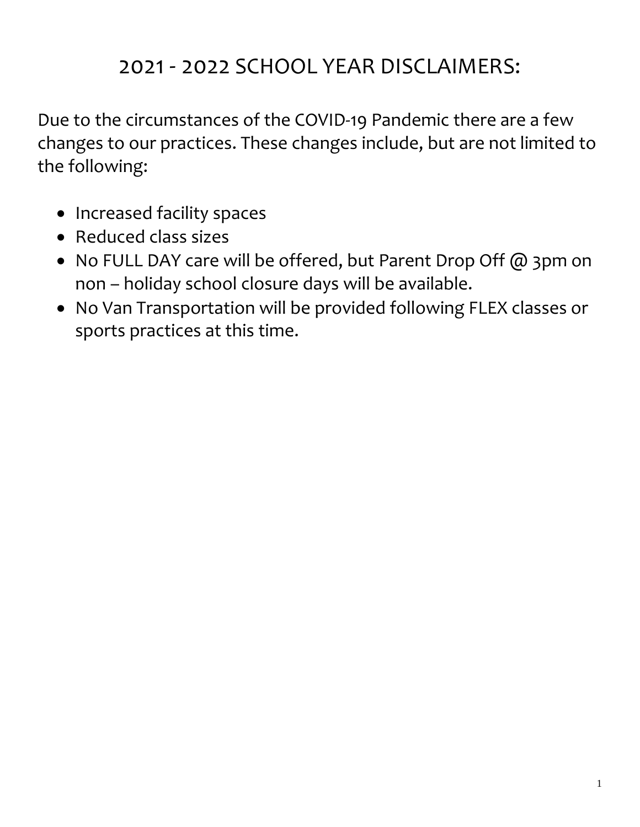# 2021 - 2022 SCHOOL YEAR DISCLAIMERS:

Due to the circumstances of the COVID-19 Pandemic there are a few changes to our practices. These changes include, but are not limited to the following:

- Increased facility spaces
- Reduced class sizes
- No FULL DAY care will be offered, but Parent Drop Off @ 3pm on non – holiday school closure days will be available.
- No Van Transportation will be provided following FLEX classes or sports practices at this time.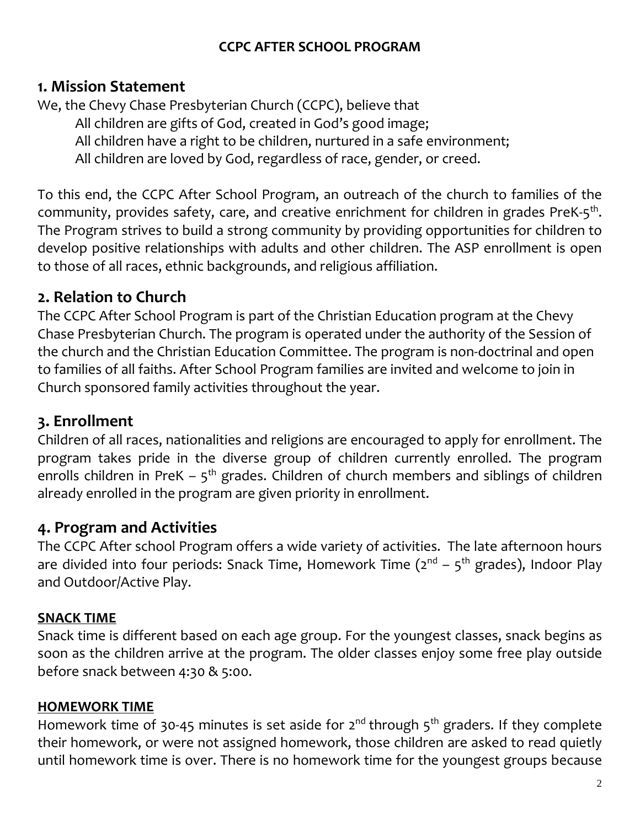#### **CCPC AFTER SCHOOL PROGRAM**

#### **1. Mission Statement**

We, the Chevy Chase Presbyterian Church (CCPC), believe that All children are gifts of God, created in God's good image;

All children have a right to be children, nurtured in a safe environment;

All children are loved by God, regardless of race, gender, or creed.

To this end, the CCPC After School Program, an outreach of the church to families of the community, provides safety, care, and creative enrichment for children in grades PreK-5<sup>th</sup>. The Program strives to build a strong community by providing opportunities for children to develop positive relationships with adults and other children. The ASP enrollment is open to those of all races, ethnic backgrounds, and religious affiliation.

# **2. Relation to Church**

The CCPC After School Program is part of the Christian Education program at the Chevy Chase Presbyterian Church. The program is operated under the authority of the Session of the church and the Christian Education Committee. The program is non-doctrinal and open to families of all faiths. After School Program families are invited and welcome to join in Church sponsored family activities throughout the year.

# **3. Enrollment**

Children of all races, nationalities and religions are encouraged to apply for enrollment. The program takes pride in the diverse group of children currently enrolled. The program enrolls children in PreK  $-5<sup>th</sup>$  grades. Children of church members and siblings of children already enrolled in the program are given priority in enrollment.

# **4. Program and Activities**

The CCPC After school Program offers a wide variety of activities. The late afternoon hours are divided into four periods: Snack Time, Homework Time (2<sup>nd</sup> – 5<sup>th</sup> grades), Indoor Play and Outdoor/Active Play.

#### **SNACK TIME**

Snack time is different based on each age group. For the youngest classes, snack begins as soon as the children arrive at the program. The older classes enjoy some free play outside before snack between 4:30 & 5:00.

#### **HOMEWORK TIME**

Homework time of 30-45 minutes is set aside for 2<sup>nd</sup> through 5<sup>th</sup> graders. If they complete their homework, or were not assigned homework, those children are asked to read quietly until homework time is over. There is no homework time for the youngest groups because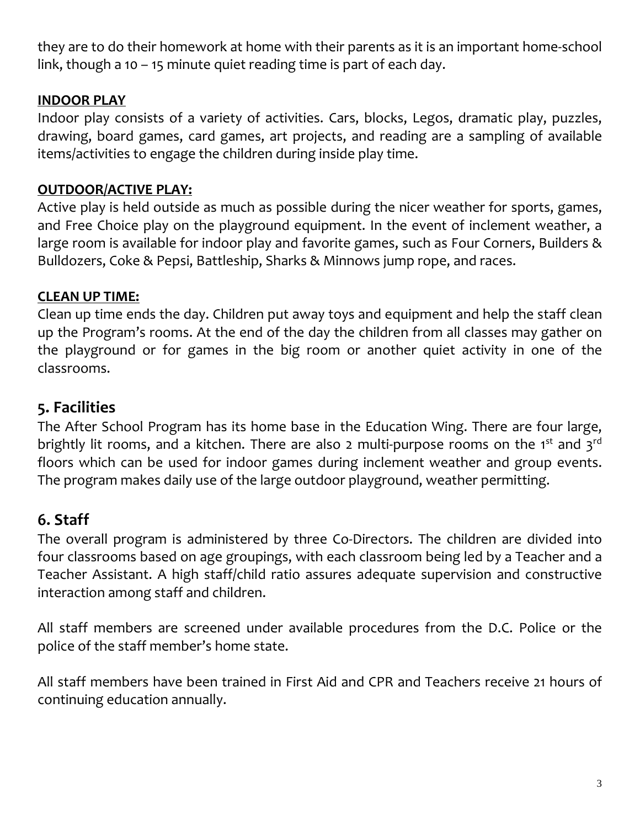they are to do their homework at home with their parents as it is an important home-school link, though a 10 – 15 minute quiet reading time is part of each day.

#### **INDOOR PLAY**

Indoor play consists of a variety of activities. Cars, blocks, Legos, dramatic play, puzzles, drawing, board games, card games, art projects, and reading are a sampling of available items/activities to engage the children during inside play time.

#### **OUTDOOR/ACTIVE PLAY:**

Active play is held outside as much as possible during the nicer weather for sports, games, and Free Choice play on the playground equipment. In the event of inclement weather, a large room is available for indoor play and favorite games, such as Four Corners, Builders & Bulldozers, Coke & Pepsi, Battleship, Sharks & Minnows jump rope, and races.

#### **CLEAN UP TIME:**

Clean up time ends the day. Children put away toys and equipment and help the staff clean up the Program's rooms. At the end of the day the children from all classes may gather on the playground or for games in the big room or another quiet activity in one of the classrooms.

# **5. Facilities**

The After School Program has its home base in the Education Wing. There are four large, brightly lit rooms, and a kitchen. There are also 2 multi-purpose rooms on the 1<sup>st</sup> and 3<sup>rd</sup> floors which can be used for indoor games during inclement weather and group events. The program makes daily use of the large outdoor playground, weather permitting.

# **6. Staff**

The overall program is administered by three Co-Directors. The children are divided into four classrooms based on age groupings, with each classroom being led by a Teacher and a Teacher Assistant. A high staff/child ratio assures adequate supervision and constructive interaction among staff and children.

All staff members are screened under available procedures from the D.C. Police or the police of the staff member's home state.

All staff members have been trained in First Aid and CPR and Teachers receive 21 hours of continuing education annually.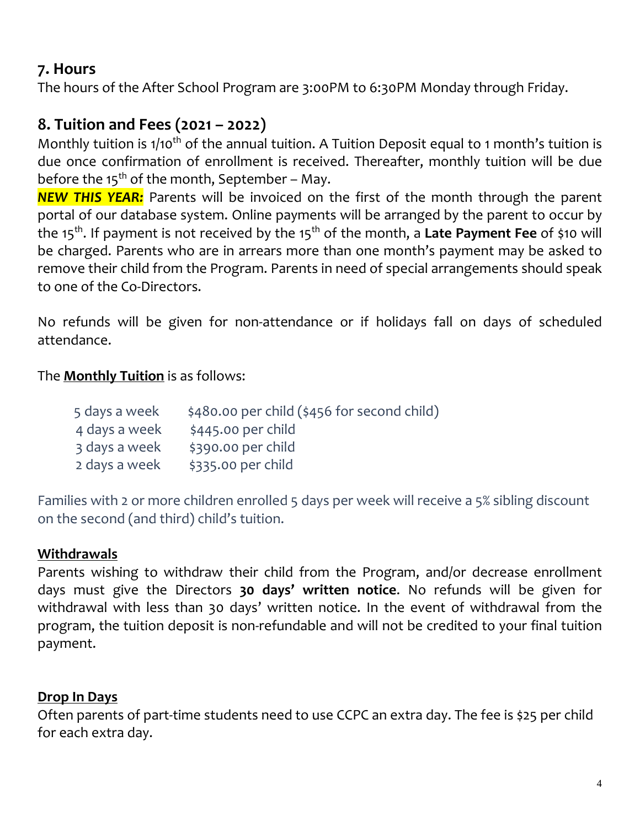# **7. Hours**

The hours of the After School Program are 3:00PM to 6:30PM Monday through Friday.

# **8. Tuition and Fees (2021 – 2022)**

Monthly tuition is 1/10<sup>th</sup> of the annual tuition. A Tuition Deposit equal to 1 month's tuition is due once confirmation of enrollment is received. Thereafter, monthly tuition will be due before the  $15^{th}$  of the month, September - May.

*NEW THIS YEAR:* Parents will be invoiced on the first of the month through the parent portal of our database system. Online payments will be arranged by the parent to occur by the 15<sup>th</sup>. If payment is not received by the 15<sup>th</sup> of the month, a **Late Payment Fee** of \$10 will be charged. Parents who are in arrears more than one month's payment may be asked to remove their child from the Program. Parents in need of special arrangements should speak to one of the Co-Directors.

No refunds will be given for non-attendance or if holidays fall on days of scheduled attendance.

#### The **Monthly Tuition** is as follows:

| 5 days a week | \$480.00 per child (\$456 for second child) |
|---------------|---------------------------------------------|
| 4 days a week | $$445.00$ per child                         |
| 3 days a week | \$390.00 per child                          |
| 2 days a week | \$335.00 per child                          |

Families with 2 or more children enrolled 5 days per week will receive a 5% sibling discount on the second (and third) child's tuition.

#### **Withdrawals**

Parents wishing to withdraw their child from the Program, and/or decrease enrollment days must give the Directors **30 days' written notice**. No refunds will be given for withdrawal with less than 30 days' written notice. In the event of withdrawal from the program, the tuition deposit is non-refundable and will not be credited to your final tuition payment.

#### **Drop In Days**

Often parents of part-time students need to use CCPC an extra day. The fee is \$25 per child for each extra day.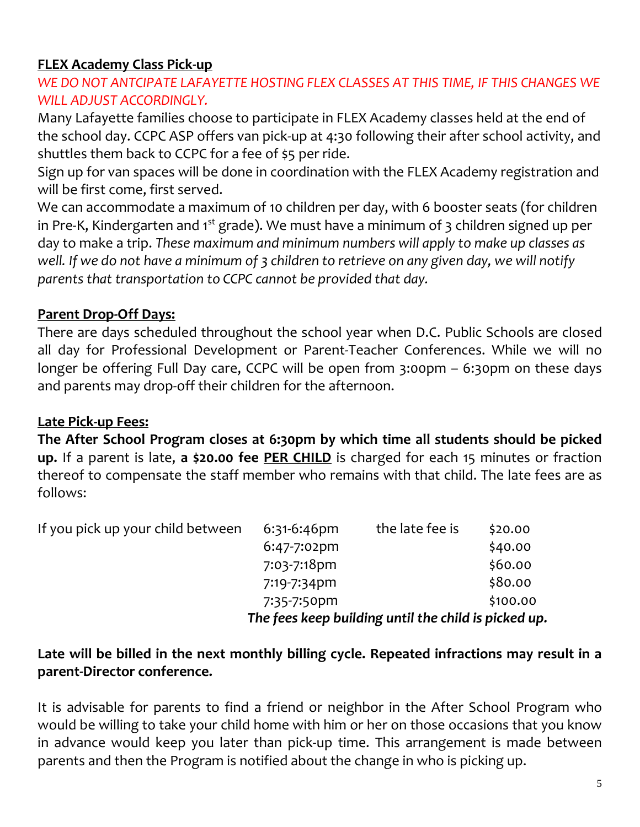#### **FLEX Academy Class Pick-up**

#### *WE DO NOT ANTCIPATE LAFAYETTE HOSTING FLEX CLASSES AT THIS TIME, IF THIS CHANGES WE WILL ADJUST ACCORDINGLY.*

Many Lafayette families choose to participate in FLEX Academy classes held at the end of the school day. CCPC ASP offers van pick-up at 4:30 following their after school activity, and shuttles them back to CCPC for a fee of \$5 per ride.

Sign up for van spaces will be done in coordination with the FLEX Academy registration and will be first come, first served.

We can accommodate a maximum of 10 children per day, with 6 booster seats (for children in Pre-K, Kindergarten and 1 $^{\rm st}$  grade). We must have a minimum of 3 children signed up per day to make a trip. *These maximum and minimum numbers will apply to make up classes as* well. If we do not have a minimum of 3 children to retrieve on any given day, we will notify *parents that transportation to CCPC cannot be provided that day.*

#### **Parent Drop-Off Days:**

There are days scheduled throughout the school year when D.C. Public Schools are closed all day for Professional Development or Parent-Teacher Conferences. While we will no longer be offering Full Day care, CCPC will be open from 3:00pm – 6:30pm on these days and parents may drop-off their children for the afternoon.

#### **Late Pick-up Fees:**

**The After School Program closes at 6:30pm by which time all students should be picked up.** If a parent is late, **a \$20.00 fee PER CHILD** is charged for each 15 minutes or fraction thereof to compensate the staff member who remains with that child. The late fees are as follows:

| If you pick up your child between | $6:31-6:46$ pm | the late fee is                                      | \$20.00  |
|-----------------------------------|----------------|------------------------------------------------------|----------|
|                                   | 6:47-7:02pm    |                                                      | \$40.00  |
|                                   | 7:03-7:18pm    |                                                      | \$60.00  |
|                                   | 7:19-7:34pm    |                                                      | \$80.00  |
|                                   | 7:35-7:50pm    |                                                      | \$100.00 |
|                                   |                | The fees keep building until the child is picked up. |          |

#### **Late will be billed in the next monthly billing cycle. Repeated infractions may result in a parent-Director conference.**

It is advisable for parents to find a friend or neighbor in the After School Program who would be willing to take your child home with him or her on those occasions that you know in advance would keep you later than pick-up time. This arrangement is made between parents and then the Program is notified about the change in who is picking up.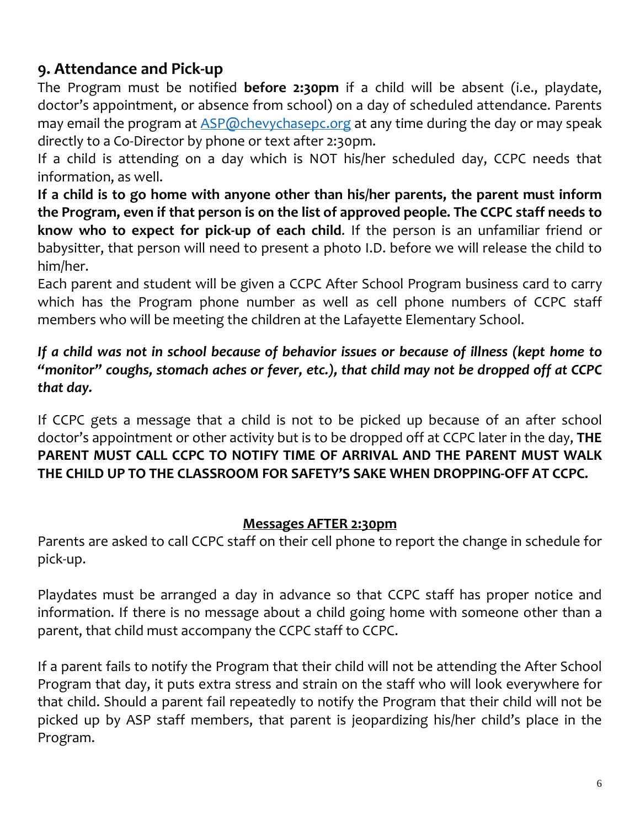# **9. Attendance and Pick-up**

The Program must be notified **before 2:30pm** if a child will be absent (i.e., playdate, doctor's appointment, or absence from school) on a day of scheduled attendance. Parents may email the program at [ASP@chevychasepc.org](mailto:ASP@chevychasepc.org) at any time during the day or may speak directly to a Co-Director by phone or text after 2:30pm.

If a child is attending on a day which is NOT his/her scheduled day, CCPC needs that information, as well.

**If a child is to go home with anyone other than his/her parents, the parent must inform the Program, even if that person is on the list of approved people. The CCPC staff needs to know who to expect for pick-up of each child**. If the person is an unfamiliar friend or babysitter, that person will need to present a photo I.D. before we will release the child to him/her.

Each parent and student will be given a CCPC After School Program business card to carry which has the Program phone number as well as cell phone numbers of CCPC staff members who will be meeting the children at the Lafayette Elementary School.

#### *If a child was not in school because of behavior issues or because of illness (kept home to "monitor" coughs, stomach aches or fever, etc.), that child may not be dropped off at CCPC that day.*

If CCPC gets a message that a child is not to be picked up because of an after school doctor's appointment or other activity but is to be dropped off at CCPC later in the day, **THE PARENT MUST CALL CCPC TO NOTIFY TIME OF ARRIVAL AND THE PARENT MUST WALK THE CHILD UP TO THE CLASSROOM FOR SAFETY'S SAKE WHEN DROPPING-OFF AT CCPC.**

#### **Messages AFTER 2:30pm**

Parents are asked to call CCPC staff on their cell phone to report the change in schedule for pick-up.

Playdates must be arranged a day in advance so that CCPC staff has proper notice and information. If there is no message about a child going home with someone other than a parent, that child must accompany the CCPC staff to CCPC.

If a parent fails to notify the Program that their child will not be attending the After School Program that day, it puts extra stress and strain on the staff who will look everywhere for that child. Should a parent fail repeatedly to notify the Program that their child will not be picked up by ASP staff members, that parent is jeopardizing his/her child's place in the Program.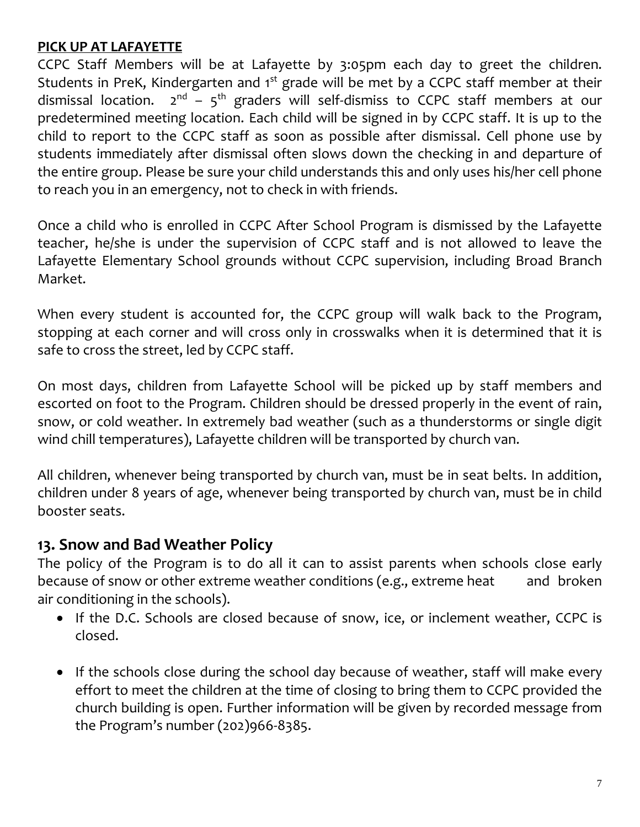#### **PICK UP AT LAFAYETTE**

CCPC Staff Members will be at Lafayette by 3:05pm each day to greet the children. Students in PreK, Kindergarten and 1<sup>st</sup> grade will be met by a CCPC staff member at their dismissal location.  $2^{nd}$  –  $5^{th}$  graders will self-dismiss to CCPC staff members at our predetermined meeting location. Each child will be signed in by CCPC staff. It is up to the child to report to the CCPC staff as soon as possible after dismissal. Cell phone use by students immediately after dismissal often slows down the checking in and departure of the entire group. Please be sure your child understands this and only uses his/her cell phone to reach you in an emergency, not to check in with friends.

Once a child who is enrolled in CCPC After School Program is dismissed by the Lafayette teacher, he/she is under the supervision of CCPC staff and is not allowed to leave the Lafayette Elementary School grounds without CCPC supervision, including Broad Branch Market.

When every student is accounted for, the CCPC group will walk back to the Program, stopping at each corner and will cross only in crosswalks when it is determined that it is safe to cross the street, led by CCPC staff.

On most days, children from Lafayette School will be picked up by staff members and escorted on foot to the Program. Children should be dressed properly in the event of rain, snow, or cold weather. In extremely bad weather (such as a thunderstorms or single digit wind chill temperatures), Lafayette children will be transported by church van.

All children, whenever being transported by church van, must be in seat belts. In addition, children under 8 years of age, whenever being transported by church van, must be in child booster seats.

#### **13. Snow and Bad Weather Policy**

The policy of the Program is to do all it can to assist parents when schools close early because of snow or other extreme weather conditions (e.g., extreme heat and broken air conditioning in the schools).

- If the D.C. Schools are closed because of snow, ice, or inclement weather, CCPC is closed.
- If the schools close during the school day because of weather, staff will make every effort to meet the children at the time of closing to bring them to CCPC provided the church building is open. Further information will be given by recorded message from the Program's number (202)966-8385.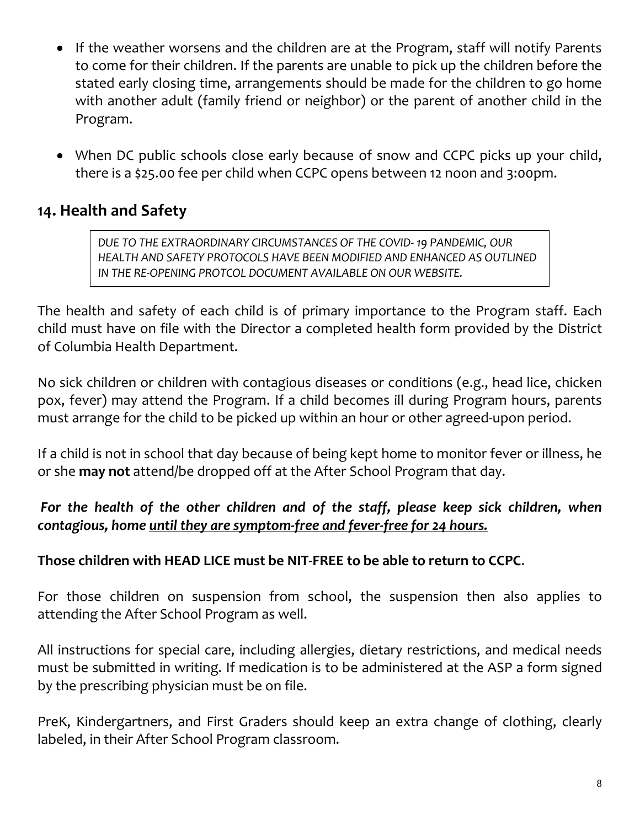- If the weather worsens and the children are at the Program, staff will notify Parents to come for their children. If the parents are unable to pick up the children before the stated early closing time, arrangements should be made for the children to go home with another adult (family friend or neighbor) or the parent of another child in the Program.
- When DC public schools close early because of snow and CCPC picks up your child, there is a \$25.00 fee per child when CCPC opens between 12 noon and 3:00pm.

# **14. Health and Safety**

*DUE TO THE EXTRAORDINARY CIRCUMSTANCES OF THE COVID- 19 PANDEMIC, OUR HEALTH AND SAFETY PROTOCOLS HAVE BEEN MODIFIED AND ENHANCED AS OUTLINED IN THE RE-OPENING PROTCOL DOCUMENT AVAILABLE ON OUR WEBSITE.*

The health and safety of each child is of primary importance to the Program staff. Each child must have on file with the Director a completed health form provided by the District of Columbia Health Department.

No sick children or children with contagious diseases or conditions (e.g., head lice, chicken pox, fever) may attend the Program. If a child becomes ill during Program hours, parents must arrange for the child to be picked up within an hour or other agreed-upon period.

If a child is not in school that day because of being kept home to monitor fever or illness, he or she **may not** attend/be dropped off at the After School Program that day.

#### *For the health of the other children and of the staff, please keep sick children, when contagious, home until they are symptom-free and fever-free for 24 hours.*

#### **Those children with HEAD LICE must be NIT-FREE to be able to return to CCPC**.

For those children on suspension from school, the suspension then also applies to attending the After School Program as well.

All instructions for special care, including allergies, dietary restrictions, and medical needs must be submitted in writing. If medication is to be administered at the ASP a form signed by the prescribing physician must be on file.

PreK, Kindergartners, and First Graders should keep an extra change of clothing, clearly labeled, in their After School Program classroom.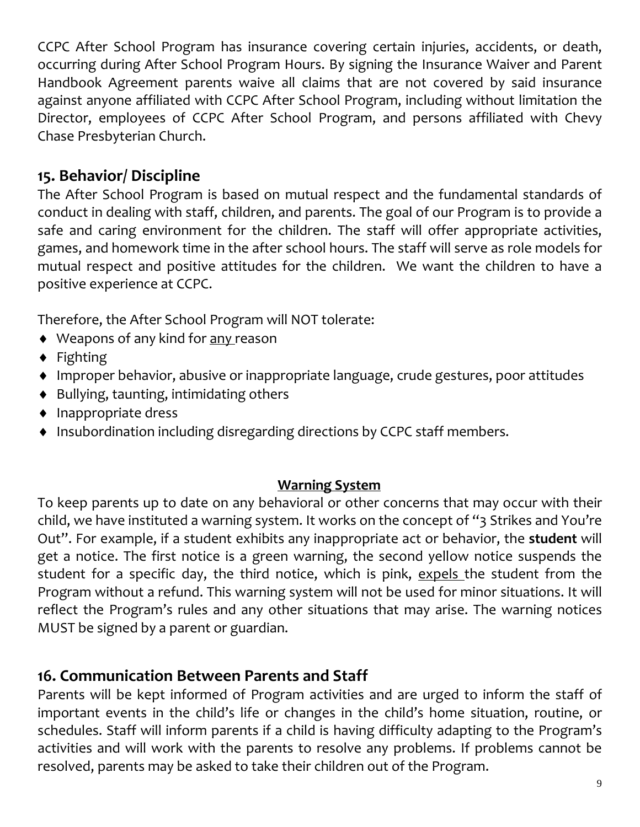CCPC After School Program has insurance covering certain injuries, accidents, or death, occurring during After School Program Hours. By signing the Insurance Waiver and Parent Handbook Agreement parents waive all claims that are not covered by said insurance against anyone affiliated with CCPC After School Program, including without limitation the Director, employees of CCPC After School Program, and persons affiliated with Chevy Chase Presbyterian Church.

# **15. Behavior/ Discipline**

The After School Program is based on mutual respect and the fundamental standards of conduct in dealing with staff, children, and parents. The goal of our Program is to provide a safe and caring environment for the children. The staff will offer appropriate activities, games, and homework time in the after school hours. The staff will serve as role models for mutual respect and positive attitudes for the children. We want the children to have a positive experience at CCPC.

Therefore, the After School Program will NOT tolerate:

- ◆ Weapons of any kind for any reason
- $\bullet$  Fighting
- Improper behavior, abusive or inappropriate language, crude gestures, poor attitudes
- $\bullet$  Bullying, taunting, intimidating others
- $\bullet$  Inappropriate dress
- ◆ Insubordination including disregarding directions by CCPC staff members.

#### **Warning System**

To keep parents up to date on any behavioral or other concerns that may occur with their child, we have instituted a warning system. It works on the concept of "3 Strikes and You're Out". For example, if a student exhibits any inappropriate act or behavior, the **student** will get a notice. The first notice is a green warning, the second yellow notice suspends the student for a specific day, the third notice, which is pink, expels the student from the Program without a refund. This warning system will not be used for minor situations. It will reflect the Program's rules and any other situations that may arise. The warning notices MUST be signed by a parent or guardian.

# **16. Communication Between Parents and Staff**

Parents will be kept informed of Program activities and are urged to inform the staff of important events in the child's life or changes in the child's home situation, routine, or schedules. Staff will inform parents if a child is having difficulty adapting to the Program's activities and will work with the parents to resolve any problems. If problems cannot be resolved, parents may be asked to take their children out of the Program.